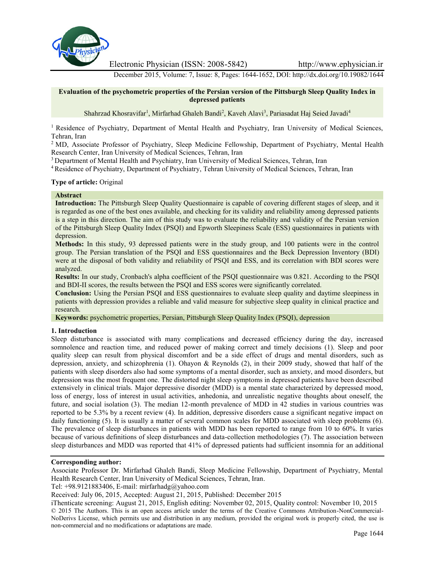

Electronic Physician (ISSN: 2008-5842) http://www.ephysician.ir

December 2015, Volume: 7, Issue: 8, Pages: 1644-1652, DOI: http://dx.doi.org/10.19082/1644

### **Evaluation of the psychometric properties of the Persian version of the Pittsburgh Sleep Quality Index in depressed patients**

Shahrzad Khosravifar<sup>1</sup>, Mirfarhad Ghaleh Bandi<sup>2</sup>, Kaveh Alavi<sup>3</sup>, Pariasadat Haj Seied Javadi<sup>4</sup>

<sup>1</sup> Residence of Psychiatry, Department of Mental Health and Psychiatry, Iran University of Medical Sciences, Tehran, Iran

<sup>2</sup> MD, Associate Professor of Psychiatry, Sleep Medicine Fellowship, Department of Psychiatry, Mental Health Research Center, Iran University of Medical Sciences, Tehran, Iran

<sup>3</sup> Department of Mental Health and Psychiatry, Iran University of Medical Sciences, Tehran, Iran

<sup>4</sup> Residence of Psychiatry, Department of Psychiatry, Tehran University of Medical Sciences, Tehran, Iran

#### **Type of article:** Original

### **Abstract**

**Introduction:** The Pittsburgh Sleep Quality Questionnaire is capable of covering different stages of sleep, and it is regarded as one of the best ones available, and checking for its validity and reliability among depressed patients is a step in this direction. The aim of this study was to evaluate the reliability and validity of the Persian version of the Pittsburgh Sleep Quality Index (PSQI) and Epworth Sleepiness Scale (ESS) questionnaires in patients with depression.

**Methods:** In this study, 93 depressed patients were in the study group, and 100 patients were in the control group. The Persian translation of the PSQI and ESS questionnaires and the Beck Depression Inventory (BDI) were at the disposal of both validity and reliability of PSQI and ESS, and its correlation with BDI scores were analyzed.

**Results:** In our study, Cronbach's alpha coefficient of the PSQI questionnaire was 0.821. According to the PSQI and BDI-II scores, the results between the PSQI and ESS scores were significantly correlated.

**Conclusion:** Using the Persian PSQI and ESS questionnaires to evaluate sleep quality and daytime sleepiness in patients with depression provides a reliable and valid measure for subjective sleep quality in clinical practice and research.

**Keywords:** psychometric properties, Persian, Pittsburgh Sleep Quality Index (PSQI), depression

## **1. Introduction**

Sleep disturbance is associated with many complications and decreased efficiency during the day, increased somnolence and reaction time, and reduced power of making correct and timely decisions (1). Sleep and poor quality sleep can result from physical discomfort and be a side effect of drugs and mental disorders, such as depression, anxiety, and schizophrenia (1). Ohayon & Reynolds (2), in their 2009 study, showed that half of the patients with sleep disorders also had some symptoms of a mental disorder, such as anxiety, and mood disorders, but depression was the most frequent one. The distorted night sleep symptoms in depressed patients have been described extensively in clinical trials. Major depressive disorder (MDD) is a mental state characterized by depressed mood, loss of energy, loss of interest in usual activities, anhedonia, and unrealistic negative thoughts about oneself, the future, and social isolation (3). The median 12-month prevalence of MDD in 42 studies in various countries was reported to be 5.3% by a recent review (4). In addition, depressive disorders cause a significant negative impact on daily functioning (5). It is usually a matter of several common scales for MDD associated with sleep problems (6). The prevalence of sleep disturbances in patients with MDD has been reported to range from 10 to 60%. It varies because of various definitions of sleep disturbances and data-collection methodologies (7). The association between sleep disturbances and MDD was reported that 41% of depressed patients had sufficient insomnia for an additional

Associate Professor Dr. Mirfarhad Ghaleh Bandi, Sleep Medicine Fellowship, Department of Psychiatry, Mental Health Research Center, Iran University of Medical Sciences, Tehran, Iran.

Tel: +98.9121883406, E-mail: mirfarhadg@yahoo.com

Received: July 06, 2015, Accepted: August 21, 2015, Published: December 2015

iThenticate screening: August 21, 2015, English editing: November 02, 2015, Quality control: November 10, 2015 © 2015 The Authors. This is an open access article under the terms of the Creative Commons Attribution-NonCommercial- NoDerivs License, which permits use and distribution in any medium, provided the original work is properly cited, the use is non-commercial and no modifications or adaptations are made.

**Corresponding author:**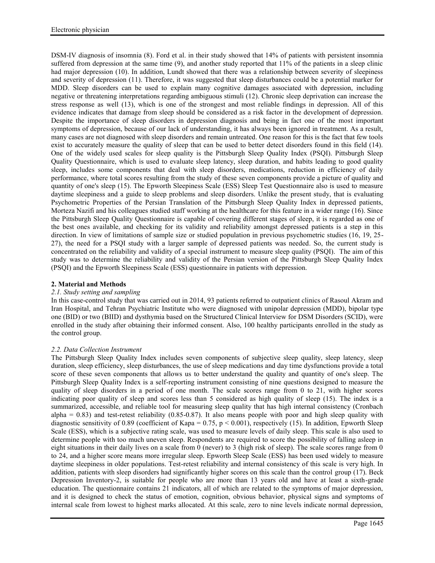DSM-IV diagnosis of insomnia (8). Ford et al. in their study showed that 14% of patients with persistent insomnia suffered from depression at the same time (9), and another study reported that 11% of the patients in a sleep clinic had major depression (10). In addition, Lundt showed that there was a relationship between severity of sleepiness and severity of depression (11). Therefore, it was suggested that sleep disturbances could be a potential marker for MDD. Sleep disorders can be used to explain many cognitive damages associated with depression, including negative or threatening interpretations regarding ambiguous stimuli (12). Chronic sleep deprivation can increase the stress response as well (13), which is one of the strongest and most reliable findings in depression. All of this evidence indicates that damage from sleep should be considered as a risk factor in the development of depression. Despite the importance of sleep disorders in depression diagnosis and being in fact one of the most important symptoms of depression, because of our lack of understanding, it has always been ignored in treatment. As a result, many cases are not diagnosed with sleep disorders and remain untreated. One reason for this is the fact that few tools exist to accurately measure the quality of sleep that can be used to better detect disorders found in this field (14). One of the widely used scales for sleep quality is the Pittsburgh Sleep Quality Index (PSQI). Pittsburgh Sleep Quality Questionnaire, which is used to evaluate sleep latency, sleep duration, and habits leading to good quality sleep, includes some components that deal with sleep disorders, medications, reduction in efficiency of daily performance, where total scores resulting from the study of these seven components provide a picture of quality and quantity of one's sleep (15). The Epworth Sleepiness Scale (ESS) Sleep Test Questionnaire also is used to measure daytime sleepiness and a guide to sleep problems and sleep disorders. Unlike the present study, that is evaluating Psychometric Properties of the Persian Translation of the Pittsburgh Sleep Quality Index in depressed patients, Morteza Nazifi and his colleagues studied staff working at the healthcare for this feature in a wider range (16). Since the Pittsburgh Sleep Quality Questionnaire is capable of covering different stages of sleep, it is regarded as one of the best ones available, and checking for its validity and reliability amongst depressed patients is a step in this direction. In view of limitations of sample size or studied population in previous psychometric studies (16, 19, 25- 27), the need for a PSQI study with a larger sample of depressed patients was needed. So, the current study is concentrated on the reliability and validity of a special instrument to measure sleep quality (PSQI). The aim of this study was to determine the reliability and validity of the Persian version of the Pittsburgh Sleep Quality Index (PSQI) and the Epworth Sleepiness Scale (ESS) questionnaire in patients with depression.

## **2. Material and Methods**

## *2.1. Study setting and sampling*

In this case-control study that was carried out in 2014, 93 patients referred to outpatient clinics of Rasoul Akram and Iran Hospital, and Tehran Psychiatric Institute who were diagnosed with unipolar depression (MDD), bipolar type one (BID) or two (BIID) and dysthymia based on the Structured Clinical Interview for DSM Disorders (SCID), were enrolled in the study after obtaining their informed consent. Also, 100 healthy participants enrolled in the study as the control group.

# *2.2. Data Collection Instrument*

The Pittsburgh Sleep Quality Index includes seven components of subjective sleep quality, sleep latency, sleep duration, sleep efficiency, sleep disturbances, the use of sleep medications and day time dysfunctions provide a total score of these seven components that allows us to better understand the quality and quantity of one's sleep. The Pittsburgh Sleep Quality Index is a self-reporting instrument consisting of nine questions designed to measure the quality of sleep disorders in a period of one month. The scale scores range from 0 to 21, with higher scores indicating poor quality of sleep and scores less than 5 considered as high quality of sleep (15). The index is a summarized, accessible, and reliable tool for measuring sleep quality that has high internal consistency (Cronbach alpha  $= 0.83$ ) and test-retest reliability  $(0.85-0.87)$ . It also means people with poor and high sleep quality with diagnostic sensitivity of 0.89 (coefficient of Kapa = 0.75,  $p < 0.001$ ), respectively (15). In addition, Epworth Sleep Scale (ESS), which is a subjective rating scale, was used to measure levels of daily sleep. This scale is also used to determine people with too much uneven sleep. Respondents are required to score the possibility of falling asleep in eight situations in their daily lives on a scale from 0 (never) to 3 (high risk of sleep). The scale scores range from 0 to 24, and a higher score means more irregular sleep. Epworth Sleep Scale (ESS) has been used widely to measure daytime sleepiness in older populations. Test-retest reliability and internal consistency of this scale is very high. In addition, patients with sleep disorders had significantly higher scores on this scale than the control group (17). Beck Depression Inventory-2, is suitable for people who are more than 13 years old and have at least a sixth-grade education. The questionnaire contains 21 indicators, all of which are related to the symptoms of major depression, and it is designed to check the status of emotion, cognition, obvious behavior, physical signs and symptoms of internal scale from lowest to highest marks allocated. At this scale, zero to nine levels indicate normal depression,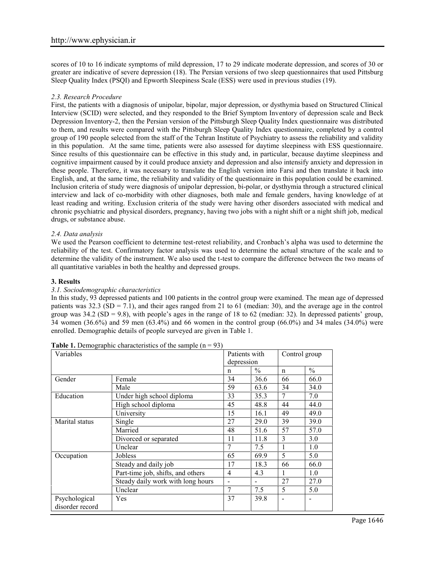scores of 10 to 16 indicate symptoms of mild depression, 17 to 29 indicate moderate depression, and scores of 30 or greater are indicative of severe depression (18). The Persian versions of two sleep questionnaires that used Pittsburg Sleep Quality Index (PSQI) and Epworth Sleepiness Scale (ESS) were used in previous studies (19).

## *2.3. Research Procedure*

First, the patients with a diagnosis of unipolar, bipolar, major depression, or dysthymia based on Structured Clinical Interview (SCID) were selected, and they responded to the Brief Symptom Inventory of depression scale and Beck Depression Inventory-2, then the Persian version of the Pittsburgh Sleep Quality Index questionnaire was distributed to them, and results were compared with the Pittsburgh Sleep Quality Index questionnaire, completed by a control group of 190 people selected from the staff of the Tehran Institute of Psychiatry to assess the reliability and validity in this population. At the same time, patients were also assessed for daytime sleepiness with ESS questionnaire. Since results of this questionnaire can be effective in this study and, in particular, because daytime sleepiness and cognitive impairment caused by it could produce anxiety and depression and also intensify anxiety and depression in these people. Therefore, it was necessary to translate the English version into Farsi and then translate it back into English, and, at the same time, the reliability and validity of the questionnaire in this population could be examined. Inclusion criteria of study were diagnosis of unipolar depression, bi-polar, or dysthymia through a structured clinical interview and lack of co-morbidity with other diagnoses, both male and female genders, having knowledge of at least reading and writing. Exclusion criteria of the study were having other disorders associated with medical and chronic psychiatric and physical disorders, pregnancy, having two jobs with a night shift or a night shift job, medical drugs, or substance abuse.

# *2.4. Data analysis*

We used the Pearson coefficient to determine test-retest reliability, and Cronbach's alpha was used to determine the reliability of the test. Confirmatory factor analysis was used to determine the actual structure of the scale and to determine the validity of the instrument. We also used the t-test to compare the difference between the two means of all quantitative variables in both the healthy and depressed groups.

## **3. Results**

## *3.1. Sociodemographic characteristics*

In this study, 93 depressed patients and 100 patients in the control group were examined. The mean age of depressed patients was 32.3 (SD = 7.1), and their ages ranged from 21 to 61 (median: 30), and the average age in the control group was  $34.2$  (SD = 9.8), with people's ages in the range of 18 to 62 (median: 32). In depressed patients' group, 34 women (36.6%) and 59 men (63.4%) and 66 women in the control group (66.0%) and 34 males (34.0%) were enrolled. Demographic details of people surveyed are given in Table 1.

| Variables       |                                   | Patients with<br>depression |      | Control group            |      |
|-----------------|-----------------------------------|-----------------------------|------|--------------------------|------|
|                 |                                   |                             |      |                          |      |
| Gender          | Female                            | 34                          | 36.6 | 66                       | 66.0 |
|                 | Male                              | 59                          | 63.6 | 34                       | 34.0 |
| Education       | Under high school diploma         | 33                          | 35.3 | 7                        | 7.0  |
|                 | High school diploma               | 45                          | 48.8 | 44                       | 44.0 |
|                 | University                        | 15                          | 16.1 | 49                       | 49.0 |
| Marital status  | Single                            | 27                          | 29.0 | 39                       | 39.0 |
|                 | Married                           | 48                          | 51.6 | 57                       | 57.0 |
|                 | Divorced or separated             | 11                          | 11.8 | 3                        | 3.0  |
|                 | Unclear                           | 7                           | 7.5  |                          | 1.0  |
| Occupation      | Jobless                           | 65                          | 69.9 | 5                        | 5.0  |
|                 | Steady and daily job              | 17                          | 18.3 | 66                       | 66.0 |
|                 | Part-time job, shifts, and others | 4                           | 4.3  |                          | 1.0  |
|                 | Steady daily work with long hours |                             |      | 27                       | 27.0 |
|                 | Unclear                           | 7                           | 7.5  | 5                        | 5.0  |
| Psychological   | <b>Yes</b>                        | 37                          | 39.8 | $\overline{\phantom{a}}$ |      |
| disorder record |                                   |                             |      |                          |      |

**Table 1.** Demographic characteristics of the sample  $(n = 93)$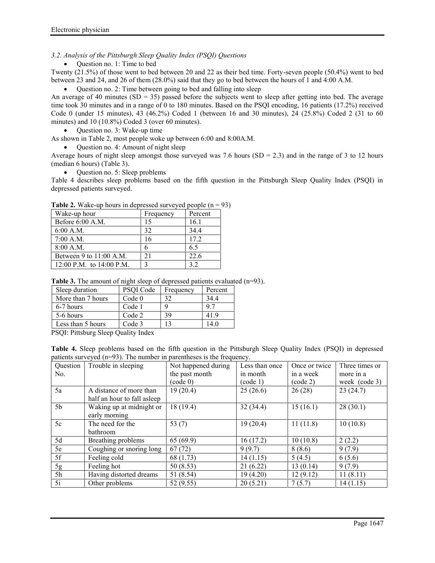# *3.2. Analysis of the Pittsburgh Sleep Quality Index (PSQI) Questions*

Question no. 1: Time to bed

Twenty (21.5%) of those went to bed between 20 and 22 as their bed time. Forty-seven people (50.4%) went to bed between 23 and 24, and 26 of them (28.0%) said that they go to bed between the hours of 1 and 4:00 A.M.

Question no. 2: Time between going to bed and falling into sleep

An average of 40 minutes  $(SD = 35)$  passed before the subjects went to sleep after getting into bed. The average time took 30 minutes and in a range of 0 to 180 minutes. Based on the PSQI encoding, 16 patients (17.2%) received Code 0 (under 15 minutes), 43 (46.2%) Coded 1 (between 16 and 30 minutes), 24 (25.8%) Coded 2 (31 to 60 minutes) and 10 (10.8%) Coded 3 (over 60 minutes).

• Question no. 3: Wake-up time

- As shown in Table 2, most people woke up between 6:00 and 8:00A.M.
	- Ouestion no. 4: Amount of night sleep

Average hours of night sleep amongst those surveyed was 7.6 hours  $(SD = 2.3)$  and in the range of 3 to 12 hours (median 6 hours) (Table 3).

• Question no. 5: Sleep problems

Table 4 describes sleep problems based on the fifth question in the Pittsburgh Sleep Quality Index (PSQI) in depressed patients surveyed.

| Wake-up hour               | Frequency | Percent |
|----------------------------|-----------|---------|
| Before 6:00 A.M.           | 15        | 16.1    |
| 6:00 A.M.                  | 32        | 34.4    |
| $7:00$ A.M.                | 16        | 172     |
| 8:00 A.M.                  | 6         | 6.5     |
| Between 9 to $11:00$ A.M.  | 21        | 226     |
| 12:00 P.M. to $14:00$ P.M. | 3         | 32      |

**Table 2.** Wake-up hours in depressed surveyed people  $(n = 93)$ 

Table 3. The amount of night sleep of depressed patients evaluated (n=93).

| Sleep duration    | PSQI Code         | Frequency | Percent |
|-------------------|-------------------|-----------|---------|
| More than 7 hours | Code <sub>0</sub> |           | 34.4    |
| 6-7 hours         | Code 1            |           | 97      |
| 5-6 hours         | Code 2            | 39        | 419     |
| Less than 5 hours | Code 3            |           |         |

PSQI: Pittsburg Sleep Quality Index

**Table 4.** Sleep problems based on the fifth question in the Pittsburgh Sleep Quality Index (PSQI) in depressed patients surveyed (n=93). The number in parentheses is the frequency.

| Question       | Trouble in sleeping          | Not happened during | Less than once | Once or twice | Three times or |
|----------------|------------------------------|---------------------|----------------|---------------|----------------|
| No.            |                              | the past month      | in month       | in a week     | more in a      |
|                |                              | (code 0)            | (code 1)       | (code 2)      | week (code 3)  |
| 5a             | A distance of more than      | 19(20.4)            | 25(26.6)       | 26(28)        | 23(24.7)       |
|                | half an hour to fall as leep |                     |                |               |                |
| 5 <sub>b</sub> | Waking up at midnight or     | 18(19.4)            | 32(34.4)       | 15(16.1)      | 28(30.1)       |
|                | early morning                |                     |                |               |                |
| 5c             | The need for the             | 53 $(7)$            | 19(20.4)       | 11(11.8)      | 10(10.8)       |
|                | bathroom                     |                     |                |               |                |
| 5d             | Breathing problems           | 65(69.9)            | 16(17.2)       | 10(10.8)      | 2(2.2)         |
| 5e             | Coughing or snoring long     | 67(72)              | 9(9.7)         | 8(8.6)        | 9(7.9)         |
| 5f             | Feeling cold                 | 68 (1.73)           | 14(1.15)       | 5(4.5)        | 6(5.6)         |
| 5g             | Feeling hot                  | 50 (8.53)           | 21(6.22)       | 13(0.14)      | 9(7.9)         |
| 5h             | Having distorted dreams      | 51 (8.54)           | 19(4.20)       | 12(9.12)      | 11(8.11)       |
| 5i             | Other problems               | 52 (9.55)           | 20(5.21)       | 7(5.7)        | 14(1.15)       |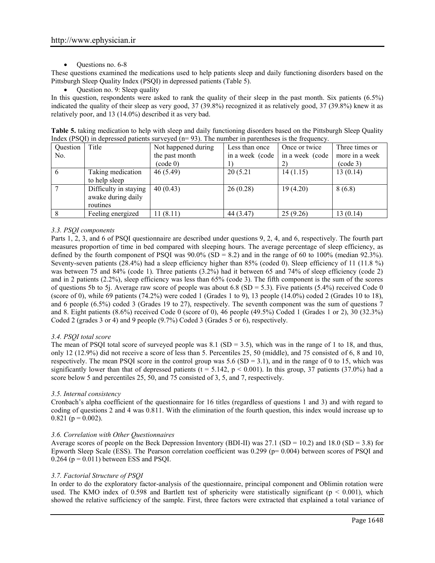Questions no. 6-8

These questions examined the medications used to help patients sleep and daily functioning disorders based on the Pittsburgh Sleep Quality Index (PSQI) in depressed patients (Table 5).

Question no. 9: Sleep quality

In this question, respondents were asked to rank the quality of their sleep in the past month. Six patients (6.5%) indicated the quality of their sleep as very good, 37 (39.8%) recognized it as relatively good, 37 (39.8%) knew it as relatively poor, and 13 (14.0%) described it as very bad.

| Table 5. taking medication to help with sleep and daily functioning disorders based on the Pittsburgh Sleep Quality |  |
|---------------------------------------------------------------------------------------------------------------------|--|
| Index (PSQI) in depressed patients surveyed $(n=93)$ . The number in parentheses is the frequency.                  |  |

| Question | Title                 | Not happened during | Less than once  | Once or twice   | Three times or |
|----------|-----------------------|---------------------|-----------------|-----------------|----------------|
| No.      |                       | the past month      | in a week (code | in a week (code | more in a week |
|          |                       | (code 0)            |                 |                 | (code 3)       |
| b        | Taking medication     | 46(5.49)            | 20(5.21)        | 14(1.15)        | 13(0.14)       |
|          | to help sleep         |                     |                 |                 |                |
|          | Difficulty in staying | 40(0.43)            | 26(0.28)        | 19(4.20)        | 8(6.8)         |
|          | awake during daily    |                     |                 |                 |                |
|          | routines              |                     |                 |                 |                |
|          | Feeling energized     | 11(8.11)            | 44 (3.47)       | 25(9.26)        | 13(0.14)       |

# *3.3. PSQI components*

Parts 1, 2, 3, and 6 of PSQI questionnaire are described under questions 9, 2, 4, and 6, respectively. The fourth part measures proportion of time in bed compared with sleeping hours. The average percentage of sleep efficiency, as defined by the fourth component of PSOI was  $90.0\%$  (SD = 8.2) and in the range of 60 to 100% (median 92.3%). Seventy-seven patients (28.4%) had a sleep efficiency higher than 85% (coded 0). Sleep efficiency of 11 (11.8 %) was between 75 and 84% (code 1). Three patients (3.2%) had it between 65 and 74% of sleep efficiency (code 2) and in 2 patients (2.2%), sleep efficiency was less than 65% (code 3). The fifth component is the sum of the scores of questions 5b to 5j. Average raw score of people was about 6.8 (SD = 5.3). Five patients (5.4%) received Code 0 (score of 0), while 69 patients (74.2%) were coded 1 (Grades 1 to 9), 13 people (14.0%) coded 2 (Grades 10 to 18), and 6 people (6.5%) coded 3 (Grades 19 to 27), respectively. The seventh component was the sum of questions 7 and 8. Eight patients (8.6%) received Code 0 (score of 0), 46 people (49.5%) Coded 1 (Grades 1 or 2), 30 (32.3%) Coded 2 (grades 3 or 4) and 9 people (9.7%) Coded 3 (Grades 5 or 6), respectively.

## *3.4. PSQI total score*

The mean of PSQI total score of surveyed people was 8.1 ( $SD = 3.5$ ), which was in the range of 1 to 18, and thus, only 12 (12.9%) did not receive a score of less than 5. Percentiles 25, 50 (middle), and 75 consisted of 6, 8 and 10, respectively. The mean PSQI score in the control group was  $5.6$  (SD = 3.1), and in the range of 0 to 15, which was significantly lower than that of depressed patients ( $t = 5.142$ ,  $p < 0.001$ ). In this group,  $37$  patients (37.0%) had a score below 5 and percentiles 25, 50, and 75 consisted of 3, 5, and 7, respectively.

## *3.5. Internal consistency*

Cronbach's alpha coefficient of the questionnaire for 16 titles (regardless of questions 1 and 3) and with regard to coding of questions 2 and 4 was 0.811. With the elimination of the fourth question, this index would increase up to  $0.821$  (p = 0.002).

## *3.6. Correlation with Other Questionnaires*

Average scores of people on the Beck Depression Inventory (BDI-II) was 27.1 (SD = 10.2) and 18.0 (SD = 3.8) for Epworth Sleep Scale (ESS). The Pearson correlation coefficient was 0.299 (p= 0.004) between scores of PSQI and  $0.264$  ( $p = 0.011$ ) between ESS and PSQI.

## *3.7. Factorial Structure of PSQI*

In order to do the exploratory factor-analysis of the questionnaire, principal component and Oblimin rotation were used. The KMO index of 0.598 and Bartlett test of sphericity were statistically significant ( $p < 0.001$ ), which showed the relative sufficiency of the sample. First, three factors were extracted that explained a total variance of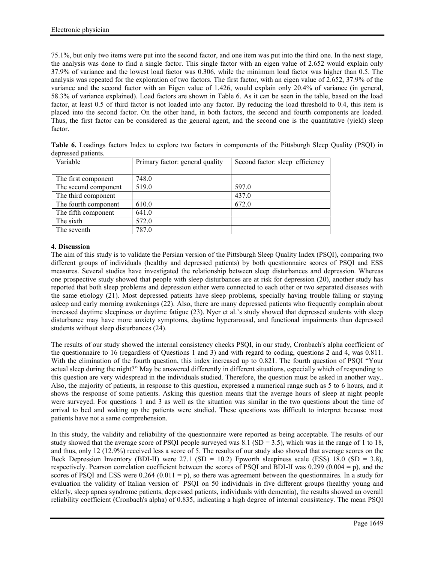75.1%, but only two items were put into the second factor, and one item was put into the third one. In the next stage, the analysis was done to find a single factor. This single factor with an eigen value of 2.652 would explain only 37.9% of variance and the lowest load factor was 0.306, while the minimum load factor was higher than 0.5. The analysis was repeated for the exploration of two factors. The first factor, with an eigen value of 2.652, 37.9% of the variance and the second factor with an Eigen value of 1.426, would explain only 20.4% of variance (in general, 58.3% of variance explained). Load factors are shown in Table 6. As it can be seen in the table, based on the load factor, at least 0.5 of third factor is not loaded into any factor. By reducing the load threshold to 0.4, this item is placed into the second factor. On the other hand, in both factors, the second and fourth components are loaded. Thus, the first factor can be considered as the general agent, and the second one is the quantitative (yield) sleep factor.

| depressed patients. |                                 | Table 6. Loadings factors Index to explore two factors in components of the Pittsburgh Sleep Quality (PSQI) in |  |
|---------------------|---------------------------------|----------------------------------------------------------------------------------------------------------------|--|
| Variable            | Primary factor: general quality | Second factor: sleep efficiency                                                                                |  |

| Variable             | Primary factor: general quality | Second factor: sleep efficiency |
|----------------------|---------------------------------|---------------------------------|
|                      |                                 |                                 |
| The first component  | 748.0                           |                                 |
| The second component | 519.0                           | 597.0                           |
| The third component  |                                 | 437.0                           |
| The fourth component | 610.0                           | 672.0                           |
| The fifth component  | 641.0                           |                                 |
| The sixth            | 572.0                           |                                 |
| The seventh          | 787.0                           |                                 |

# **4. Discussion**

The aim of this study is to validate the Persian version of the Pittsburgh Sleep Quality Index (PSQI), comparing two different groups of individuals (healthy and depressed patients) by both questionnaire scores of PSQI and ESS measures. Several studies have investigated the relationship between sleep disturbances and depression. Whereas one prospective study showed that people with sleep disturbances are at risk for depression (20), another study has reported that both sleep problems and depression either were connected to each other or two separated diseases with the same etiology (21). Most depressed patients have sleep problems, specially having trouble falling or staying asleep and early morning awakenings (22). Also, there are many depressed patients who frequently complain about increased daytime sleepiness or daytime fatigue (23). Nyer et al.'s study showed that depressed students with sleep disturbance may have more anxiety symptoms, daytime hyperarousal, and functional impairments than depressed students without sleep disturbances (24).

The results of our study showed the internal consistency checks PSQI, in our study, Cronbach's alpha coefficient of the questionnaire to 16 (regardless of Questions 1 and 3) and with regard to coding, questions 2 and 4, was 0.811. With the elimination of the fourth question, this index increased up to 0.821. The fourth question of PSQI "Your actual sleep during the night?" May be answered differently in different situations, especially which of responding to this question are very widespread in the individuals studied. Therefore, the question must be asked in another way.. Also, the majority of patients, in response to this question, expressed a numerical range such as 5 to 6 hours, and it shows the response of some patients. Asking this question means that the average hours of sleep at night people were surveyed. For questions 1 and 3 as well as the situation was similar in the two questions about the time of arrival to bed and waking up the patients were studied. These questions was difficult to interpret because most patients have not a same comprehension.

In this study, the validity and reliability of the questionnaire were reported as being acceptable. The results of our study showed that the average score of PSQI people surveyed was  $8.1$  (SD = 3.5), which was in the range of 1 to 18, and thus, only 12 (12.9%) received less a score of 5. The results of our study also showed that average scores on the Beck Depression Inventory (BDI-II) were 27.1 (SD = 10.2) Epworth sleepiness scale (ESS) 18.0 (SD = 3.8), respectively. Pearson correlation coefficient between the scores of PSQI and BDI-II was  $0.299 (0.004 = p)$ , and the scores of PSQI and ESS were  $0.264 (0.011 = p)$ , so there was agreement between the questionnaires. In a study for evaluation the validity of Italian version of PSQI on 50 individuals in five different groups (healthy young and elderly, sleep apnea syndrome patients, depressed patients, individuals with dementia), the results showed an overall reliability coefficient (Cronbach's alpha) of 0.835, indicating a high degree of internal consistency. The mean PSQI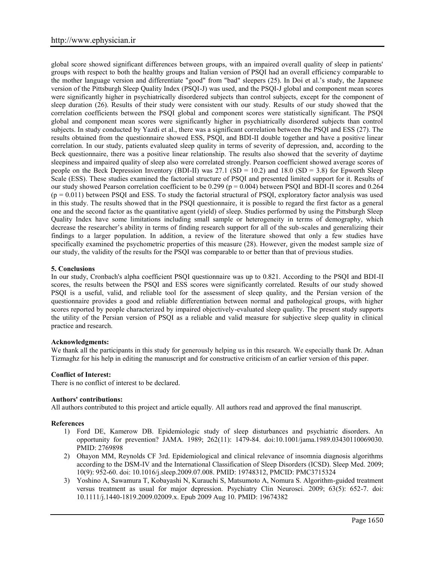global score showed significant differences between groups, with an impaired overall quality of sleep in patients' groups with respect to both the healthy groups and Italian version of PSQI had an overall efficiency comparable to the mother language version and differentiate "good" from "bad" sleepers (25). In Doi et al.'s study, the Japanese version of the Pittsburgh Sleep Quality Index (PSQI-J) was used, and the PSQI-J global and component mean scores were significantly higher in psychiatrically disordered subjects than control subjects, except for the component of sleep duration (26). Results of their study were consistent with our study. Results of our study showed that the correlation coefficients between the PSQI global and component scores were statistically significant. The PSQI global and component mean scores were significantly higher in psychiatrically disordered subjects than control subjects. In study conducted by Yazdi et al., there was a significant correlation between the PSQI and ESS (27). The results obtained from the questionnaire showed ESS, PSQI, and BDI-II double together and have a positive linear correlation. In our study, patients evaluated sleep quality in terms of severity of depression, and, according to the Beck questionnaire, there was a positive linear relationship. The results also showed that the severity of daytime sleepiness and impaired quality of sleep also were correlated strongly. Pearson coefficient showed average scores of people on the Beck Depression Inventory (BDI-II) was 27.1 (SD = 10.2) and 18.0 (SD = 3.8) for Epworth Sleep Scale (ESS). These studies examined the factorial structure of PSQI and presented limited support for it. Results of our study showed Pearson correlation coefficient to be 0.299 ( $p = 0.004$ ) between PSQI and BDI-II scores and 0.264  $(p = 0.011)$  between PSQI and ESS. To study the factorial structural of PSQI, exploratory factor analysis was used in this study. The results showed that in the PSQI questionnaire, it is possible to regard the first factor as a general one and the second factor as the quantitative agent (yield) of sleep. Studies performed by using the Pittsburgh Sleep Quality Index have some limitations including small sample or heterogeneity in terms of demography, which decrease the researcher's ability in terms of finding research support for all of the sub-scales and generalizing their findings to a larger population. In addition, a review of the literature showed that only a few studies have specifically examined the psychometric properties of this measure (28). However, given the modest sample size of our study, the validity of the results for the PSQI was comparable to or better than that of previous studies.

### **5. Conclusions**

In our study, Cronbach's alpha coefficient PSQI questionnaire was up to 0.821. According to the PSQI and BDI-II scores, the results between the PSQI and ESS scores were significantly correlated. Results of our study showed PSQI is a useful, valid, and reliable tool for the assessment of sleep quality, and the Persian version of the questionnaire provides a good and reliable differentiation between normal and pathological groups, with higher scores reported by people characterized by impaired objectively-evaluated sleep quality. The present study supports the utility of the Persian version of PSQI as a reliable and valid measure for subjective sleep quality in clinical practice and research.

#### **Acknowledgments:**

We thank all the participants in this study for generously helping us in this research. We especially thank Dr. Adnan Tizmaghz for his help in editing the manuscript and for constructive criticism of an earlier version of this paper.

#### **Conflict of Interest:**

There is no conflict of interest to be declared.

#### **Authors' contributions:**

All authors contributed to this project and article equally. All authors read and approved the final manuscript.

#### **References**

- 1) Ford DE, Kamerow DB. Epidemiologic study of sleep disturbances and psychiatric disorders. An opportunity for prevention? JAMA. 1989; 262(11): 1479-84. doi:10.1001/jama.1989.03430110069030. PMID: 2769898
- 2) Ohayon MM, Reynolds CF 3rd. Epidemiological and clinical relevance of insomnia diagnosis algorithms according to the DSM-IV and the International Classification of Sleep Disorders (ICSD). Sleep Med. 2009; 10(9): 952-60. doi: 10.1016/j.sleep.2009.07.008. PMID: 19748312, PMCID: PMC3715324
- 3) Yoshino A, Sawamura T, Kobayashi N, Kurauchi S, Matsumoto A, Nomura S. Algorithm-guided treatment versus treatment as usual for major depression. Psychiatry Clin Neurosci. 2009; 63(5): 652-7. doi: 10.1111/j.1440-1819.2009.02009.x. Epub 2009 Aug 10. PMID: 19674382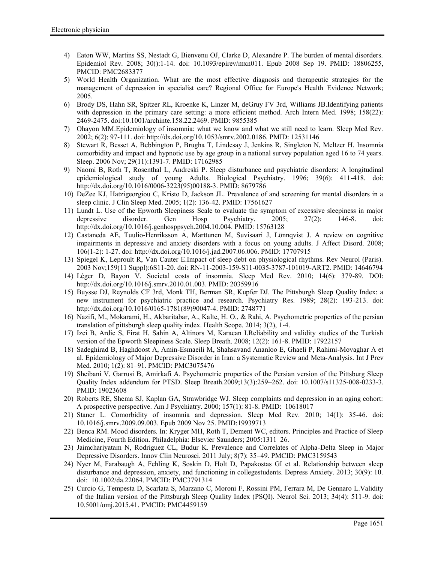- 4) Eaton WW, Martins SS, Nestadt G, Bienvenu OJ, Clarke D, Alexandre P. The burden of mental disorders. Epidemiol Rev. 2008; 30():1-14. doi: 10.1093/epirev/mxn011. Epub 2008 Sep 19. PMID: 18806255, PMCID: PMC2683377
- 5) World Health Organization. What are the most effective diagnosis and therapeutic strategies for the management of depression in specialist care? Regional Office for Europe's Health Evidence Network; 2005.
- 6) Brody DS, Hahn SR, Spitzer RL, Kroenke K, Linzer M, deGruy FV 3rd, Williams JB.Identifying patients with depression in the primary care setting: a more efficient method. Arch Intern Med. 1998; 158(22): 2469-2475. doi:10.1001/archinte.158.22.2469. PMID: 9855385
- 7) Ohayon MM.Epidemiology of insomnia: what we know and what we still need to learn. Sleep Med Rev. 2002; 6(2): 97-111. doi: http://dx.doi.org/10.1053/smrv.2002.0186. PMID: 12531146
- 8) Stewart R, Besset A, Bebbington P, Brugha T, Lindesay J, Jenkins R, Singleton N, Meltzer H. Insomnia comorbidity and impact and hypnotic use by age group in a national survey population aged 16 to 74 years. Sleep. 2006 Nov; 29(11):1391-7. PMID: 17162985
- 9) Naomi B, Roth T, Rosenthal L, Andreski P. Sleep disturbance and psychiatric disorders: A longitudinal epidemiological study of young Adults. Biological Psychiatry. 1996; 39(6): 411-418. doi: http://dx.doi.org/10.1016/0006-3223(95)00188-3. PMID: 8679786
- 10) DeZee KJ, Hatzigeorgiou C, Kristo D, Jackson JL. Prevalence of and screening for mental disorders in a sleep clinic. J Clin Sleep Med. 2005; 1(2): 136-42. PMID: 17561627
- 11) Lundt L. Use of the Epworth Sleepiness Scale to evaluate the symptom of excessive sleepiness in major depressive disorder. Gen Hosp Psychiatry. 2005; 27(2): 146-8. doi: http://dx.doi.org/10.1016/j.genhosppsych.2004.10.004. PMID: 15763128
- 12) Castaneda AE, Tuulio-Henriksson A, Marttunen M, Suvisaari J, Lönnqvist J. A review on cognitive impairments in depressive and anxiety disorders with a focus on young adults. J Affect Disord. 2008; 106(1-2): 1-27. doi: http://dx.doi.org/10.1016/j.jad.2007.06.006. PMID: 17707915
- 13) Spiegel K, Leproult R, Van Cauter E.Impact of sleep debt on physiological rhythms. Rev Neurol (Paris). 2003 Nov;159(11 Suppl):6S11-20. doi: RN-11-2003-159-S11-0035-3787-101019-ART2. PMID: 14646794
- 14) Léger D, Bayon V. Societal costs of insomnia. Sleep Med Rev. 2010; 14(6): 379-89. DOI: http://dx.doi.org/10.1016/j.smrv.2010.01.003. PMID: 20359916
- 15) Buysse DJ, Reynolds CF 3rd, Monk TH, Berman SR, Kupfer DJ. The Pittsburgh Sleep Quality Index: a new instrument for psychiatric practice and research. Psychiatry Res. 1989; 28(2): 193-213. doi: http://dx.doi.org/10.1016/0165-1781(89)90047-4. PMID: 2748771
- 16) Nazifi, M., Mokarami, H., Akbaritabar, A., Kalte, H. O., & Rahi, A. Psychometric properties of the persian translation of pittsburgh sleep quality index. Health Scope. 2014; 3(2), 1-4.
- 17) Izci B, Ardic S, Firat H, Sahin A, Altinors M, Karacan I.Reliability and validity studies of the Turkish version of the Epworth Sleepiness Scale. Sleep Breath. 2008; 12(2): 161-8. PMID: 17922157
- 18) Sadeghirad B, Haghdoost A, Amin-Esmaeili M, Shahsavand Ananloo E, Ghaeli P, Rahimi-Movaghar A et al. Epidemiology of Major Depressive Disorder in Iran: a Systematic Review and Meta-Analysis. Int J Prev Med. 2010; 1(2): 81–91. PMCID: PMC3075476
- 19) Sheibani V, Garrusi B, Amirkafi A. Psychometric properties of the Persian version of the Pittsburg Sleep Quality Index addendum for PTSD. Sleep Breath.2009;13(3):259–262. doi: 10.1007/s11325-008-0233-3. PMID: 19023608
- 20) Roberts RE, Shema SJ, Kaplan GA, Strawbridge WJ. Sleep complaints and depression in an aging cohort: A prospective perspective. Am J Psychiatry. 2000; 157(1): 81-8. PMID: 10618017
- 21) Staner L. Comorbidity of insomnia and depression. Sleep Med Rev. 2010; 14(1): 35-46. doi: 10.1016/j.smrv.2009.09.003. Epub 2009 Nov 25. PMID:19939713
- 22) Benca RM. Mood disorders. In: Kryger MH, Roth T, Dement WC, editors. Principles and Practice of Sleep Medicine, Fourth Edition. Philadelphia: Elsevier Saunders; 2005:1311–26.
- 23) Jaimchariyatam N, Rodriguez CL, Budur K. Prevalence and Correlates of Alpha-Delta Sleep in Major Depressive Disorders. Innov Clin Neurosci. 2011 July; 8(7): 35–49. PMCID: PMC3159543
- 24) Nyer M, Farabaugh A, Fehling K, Soskin D, Holt D, Papakostas GI et al. Relationship between sleep disturbance and depression, anxiety, and functioning in collegestudents. Depress Anxiety. 2013; 30(9): 10. doi: 10.1002/da.22064. PMCID: PMC3791314
- 25) Curcio G, Tempesta D, Scarlata S, Marzano C, Moroni F, Rossini PM, Ferrara M, De Gennaro L.Validity of the Italian version of the Pittsburgh Sleep Quality Index (PSQI). Neurol Sci. 2013; 34(4): 511-9. doi: 10.5001/omj.2015.41. PMCID: PMC4459159